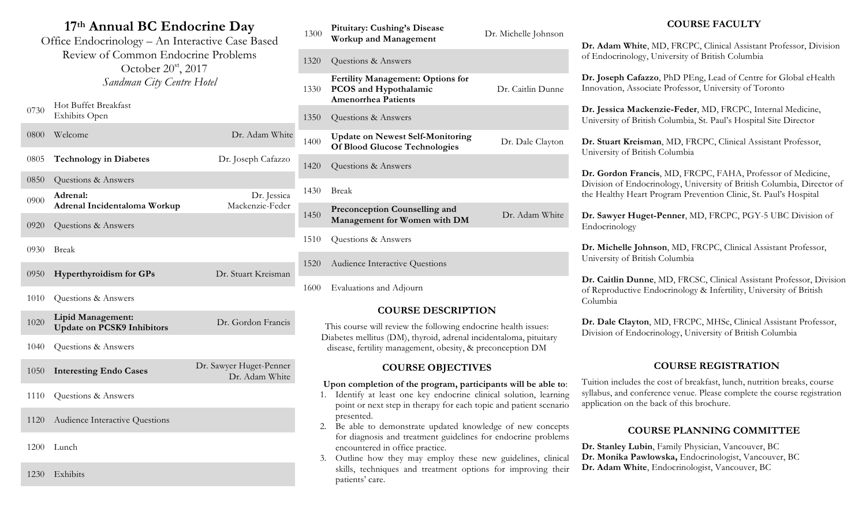# **17th Annual BC Endocrine Day**

Office Endocrinology – An Interactive Case Based Review of Common Endocrine Problems October 20<sup>st</sup>, 2017 *Sandman City Centre Hotel*

| 0730 | Hot Buffet Breakfast<br><b>Exhibits Open</b>           |                                           |
|------|--------------------------------------------------------|-------------------------------------------|
| 0800 | Welcome                                                | Dr. Adam White                            |
| 0805 | <b>Technology in Diabetes</b>                          | Dr. Joseph Cafazzo                        |
| 0850 | Questions & Answers                                    |                                           |
| 0900 | Adrenal:<br>Adrenal Incidentaloma Workup               | Dr. Jessica<br>Mackenzie-Feder            |
| 0920 | Questions & Answers                                    |                                           |
| 0930 | <b>Break</b>                                           |                                           |
| 0950 | <b>Hyperthyroidism for GPs</b>                         | Dr. Stuart Kreisman                       |
| 1010 | Questions & Answers                                    |                                           |
| 1020 | Lipid Management:<br><b>Update on PCSK9 Inhibitors</b> | Dr. Gordon Francis                        |
| 1040 | Questions & Answers                                    |                                           |
| 1050 | <b>Interesting Endo Cases</b>                          | Dr. Sawyer Huget-Penner<br>Dr. Adam White |

- 1110 Questions & Answers
- 1120 Audience Interactive Questions
- 1200 Lunch

1230 Exhibits

| 1300 | <b>Pituitary: Cushing's Disease</b><br><b>Workup and Management</b>                                    | Dr. Michelle Johnson |
|------|--------------------------------------------------------------------------------------------------------|----------------------|
| 1320 | Questions & Answers                                                                                    |                      |
| 1330 | <b>Fertility Management: Options for</b><br><b>PCOS</b> and Hypothalamic<br><b>Amenorrhea Patients</b> | Dr. Caitlin Dunne    |
| 1350 | Questions & Answers                                                                                    |                      |
| 1400 | <b>Update on Newest Self-Monitoring</b><br><b>Of Blood Glucose Technologies</b>                        | Dr. Dale Clayton     |
| 1420 | Questions & Answers                                                                                    |                      |
| 1430 | <b>Break</b>                                                                                           |                      |
| 1450 | <b>Preconception Counselling and</b><br>Management for Women with DM                                   | Dr. Adam White       |
| 1510 | Questions & Answers                                                                                    |                      |
| 1520 | Audience Interactive Questions                                                                         |                      |
|      |                                                                                                        |                      |

1600 Evaluations and Adjourn

### **COURSE DESCRIPTION**

This course will review the following endocrine health issues: Diabetes mellitus (DM), thyroid, adrenal incidentaloma, pituitary disease, fertility management, obesity, & preconception DM

### **COURSE OBJECTIVES**

#### **Upon completion of the program, participants will be able to**:

- 1. Identify at least one key endocrine clinical solution, learning point or next step in therapy for each topic and patient scenario presented.
- 2. Be able to demonstrate updated knowledge of new concepts for diagnosis and treatment guidelines for endocrine problems encountered in office practice.
- 3. Outline how they may employ these new guidelines, clinical skills, techniques and treatment options for improving their patients' care.

### **COURSE FACULTY**

**Dr. Adam White**, MD, FRCPC, Clinical Assistant Professor, Division of Endocrinology, University of British Columbia

**Dr. Joseph Cafazzo**, PhD PEng, Lead of Centre for Global eHealth Innovation, Associate Professor, University of Toronto

**Dr. Jessica Mackenzie-Feder**, MD, FRCPC, Internal Medicine, University of British Columbia, St. Paul's Hospital Site Director

**Dr. Stuart Kreisman**, MD, FRCPC, Clinical Assistant Professor, University of British Columbia

**Dr. Gordon Francis**, MD, FRCPC, FAHA, Professor of Medicine, Division of Endocrinology, University of British Columbia, Director of the Healthy Heart Program Prevention Clinic, St. Paul's Hospital

**Dr. Sawyer Huget-Penner**, MD, FRCPC, PGY-5 UBC Division of Endocrinology

**Dr. Michelle Johnson**, MD, FRCPC, Clinical Assistant Professor, University of British Columbia

**Dr. Caitlin Dunne**, MD, FRCSC, Clinical Assistant Professor, Division of Reproductive Endocrinology & Infertility, University of British Columbia

**Dr. Dale Clayton**, MD, FRCPC, MHSc, Clinical Assistant Professor, Division of Endocrinology, University of British Columbia

# **COURSE REGISTRATION**

Tuition includes the cost of breakfast, lunch, nutrition breaks, course syllabus, and conference venue. Please complete the course registration application on the back of this brochure.

## **COURSE PLANNING COMMITTEE**

- **Dr. Stanley Lubin**, Family Physician, Vancouver, BC
- **Dr. Monika Pawlowska,** Endocrinologist, Vancouver, BC
- **Dr. Adam White**, Endocrinologist, Vancouver, BC